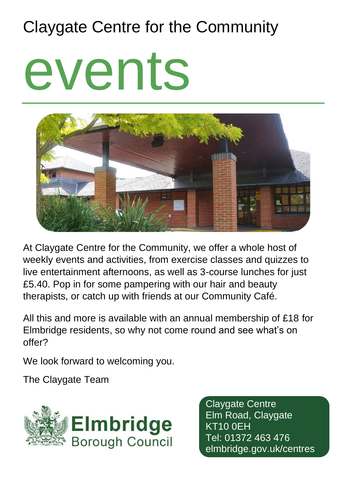## Claygate Centre for the Community

# events



At Claygate Centre for the Community, we offer a whole host of weekly events and activities, from exercise classes and quizzes to live entertainment afternoons, as well as 3-course lunches for just £5.40. Pop in for some pampering with our hair and beauty therapists, or catch up with friends at our Community Café.

All this and more is available with an annual membership of £18 for Elmbridge residents, so why not come round and see what's on offer?

We look forward to welcoming you.

The Claygate Team



Claygate Centre Elm Road, Claygate KT10 0EH Tel: 01372 463 476 elmbridge.gov.uk/centres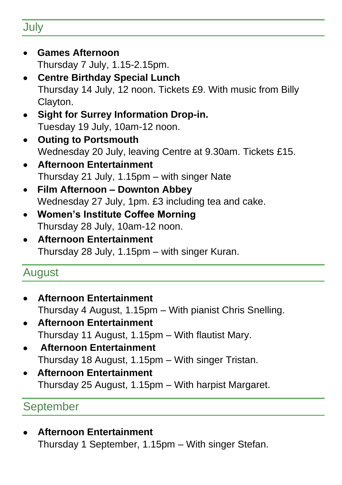#### **July**

- **Games Afternoon** Thursday 7 July, 1.15-2.15pm.
- **Centre Birthday Special Lunch** Thursday 14 July, 12 noon. Tickets £9. With music from Billy Clayton.
- **Sight for Surrey Information Drop-in.**  Tuesday 19 July, 10am-12 noon.
- **Outing to Portsmouth** Wednesday 20 July, leaving Centre at 9.30am. Tickets £15.
- **Afternoon Entertainment**  Thursday 21 July, 1.15pm – with singer Nate
- **Film Afternoon – Downton Abbey** Wednesday 27 July, 1pm. £3 including tea and cake.
- **Women's Institute Coffee Morning** Thursday 28 July, 10am-12 noon.
- **Afternoon Entertainment**  Thursday 28 July, 1.15pm – with singer Kuran.

#### August

- **Afternoon Entertainment** Thursday 4 August, 1.15pm – With pianist Chris Snelling.
- **Afternoon Entertainment** Thursday 11 August, 1.15pm – With flautist Mary.
- **Afternoon Entertainment** Thursday 18 August, 1.15pm – With singer Tristan.
- **Afternoon Entertainment** Thursday 25 August, 1.15pm – With harpist Margaret.

#### September

• **Afternoon Entertainment** Thursday 1 September, 1.15pm – With singer Stefan.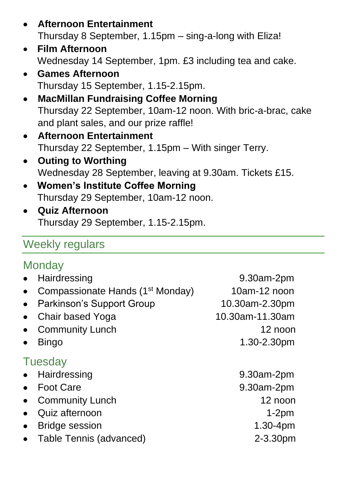- **Afternoon Entertainment** Thursday 8 September, 1.15pm – sing-a-long with Eliza!
- **Film Afternoon**  Wednesday 14 September, 1pm. £3 including tea and cake.
- **Games Afternoon** Thursday 15 September, 1.15-2.15pm.
- **MacMillan Fundraising Coffee Morning** Thursday 22 September, 10am-12 noon. With bric-a-brac, cake and plant sales, and our prize raffle!
- **Afternoon Entertainment** Thursday 22 September, 1.15pm – With singer Terry.
- **Outing to Worthing** Wednesday 28 September, leaving at 9.30am. Tickets £15.
- **Women's Institute Coffee Morning** Thursday 29 September, 10am-12 noon.
- **Quiz Afternoon** Thursday 29 September, 1.15-2.15pm.

#### Weekly regulars

#### **Monday**

| Hairdressing<br>$\bullet$           |                                              | 9.30am-2pm      |
|-------------------------------------|----------------------------------------------|-----------------|
| $\bullet$                           | Compassionate Hands (1 <sup>st</sup> Monday) | 10am-12 noon    |
| $\bullet$                           | Parkinson's Support Group                    | 10.30am-2.30pm  |
| Chair based Yoga<br>$\bullet$       |                                              | 10.30am-11.30am |
| <b>Community Lunch</b><br>$\bullet$ |                                              | 12 noon         |
| Bingo<br>$\bullet$                  |                                              | 1.30-2.30pm     |
| <b>Tuesday</b>                      |                                              |                 |
| Hairdressing<br>$\bullet$           |                                              | 9.30am-2pm      |
| <b>Foot Care</b><br>$\bullet$       |                                              | 9.30am-2pm      |
| <b>Community Lunch</b><br>$\bullet$ |                                              | 12 noon         |
| Quiz afternoon<br>$\bullet$         |                                              | $1-2pm$         |
| <b>Bridge session</b><br>$\bullet$  |                                              | $1.30 - 4pm$    |
| $\bullet$                           | Table Tennis (advanced)                      | 2-3.30pm        |